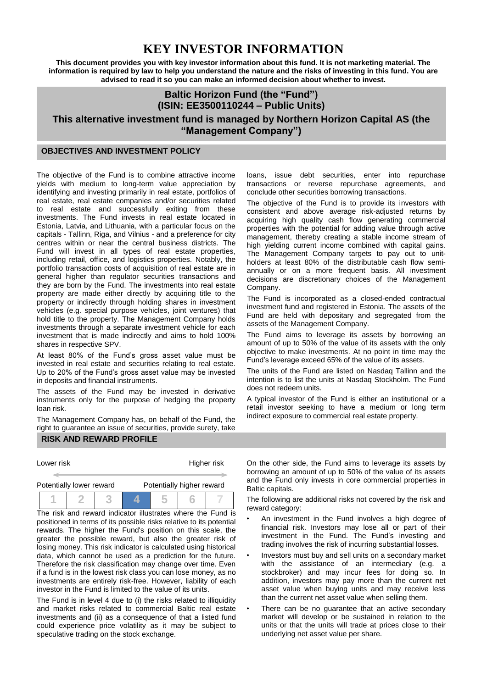# **KEY INVESTOR INFORMATION**

**This document provides you with key investor information about this fund. It is not marketing material. The information is required by law to help you understand the nature and the risks of investing in this fund. You are advised to read it so you can make an informed decision about whether to invest.**

## **Baltic Horizon Fund (the "Fund") (ISIN: EE3500110244 – Public Units)**

**This alternative investment fund is managed by Northern Horizon Capital AS (the "Management Company")**

### **OBJECTIVES AND INVESTMENT POLICY**

The objective of the Fund is to combine attractive income yields with medium to long-term value appreciation by identifying and investing primarily in real estate, portfolios of real estate, real estate companies and/or securities related to real estate and successfully exiting from these investments. The Fund invests in real estate located in Estonia, Latvia, and Lithuania, with a particular focus on the capitals - Tallinn, Riga, and Vilnius - and a preference for city centres within or near the central business districts. The Fund will invest in all types of real estate properties, including retail, office, and logistics properties. Notably, the portfolio transaction costs of acquisition of real estate are in general higher than regulator securities transactions and they are born by the Fund. The investments into real estate property are made either directly by acquiring title to the property or indirectly through holding shares in investment vehicles (e.g. special purpose vehicles, joint ventures) that hold title to the property. The Management Company holds investments through a separate investment vehicle for each investment that is made indirectly and aims to hold 100% shares in respective SPV.

At least 80% of the Fund's gross asset value must be invested in real estate and securities relating to real estate. Up to 20% of the Fund's gross asset value may be invested in deposits and financial instruments.

The assets of the Fund may be invested in derivative instruments only for the purpose of hedging the property loan risk.

The Management Company has, on behalf of the Fund, the right to guarantee an issue of securities, provide surety, take

#### **RISK AND REWARD PROFILE**

Lower risk **Higher risk** Higher risk

|  | Potentially lower reward |  | Potentially higher reward |  |  |  |
|--|--------------------------|--|---------------------------|--|--|--|
|  |                          |  |                           |  |  |  |

The risk and reward indicator illustrates where the Fund is positioned in terms of its possible risks relative to its potential rewards. The higher the Fund's position on this scale, the greater the possible reward, but also the greater risk of losing money. This risk indicator is calculated using historical data, which cannot be used as a prediction for the future. Therefore the risk classification may change over time. Even if a fund is in the lowest risk class you can lose money, as no investments are entirely risk-free. However, liability of each investor in the Fund is limited to the value of its units.

The Fund is in level 4 due to (i) the risks related to illiquidity and market risks related to commercial Baltic real estate investments and (ii) as a consequence of that a listed fund could experience price volatility as it may be subject to speculative trading on the stock exchange.

loans, issue debt securities, enter into repurchase transactions or reverse repurchase agreements, and conclude other securities borrowing transactions.

The objective of the Fund is to provide its investors with consistent and above average risk-adjusted returns by acquiring high quality cash flow generating commercial properties with the potential for adding value through active management, thereby creating a stable income stream of high yielding current income combined with capital gains. The Management Company targets to pay out to unitholders at least 80% of the distributable cash flow semiannually or on a more frequent basis. All investment decisions are discretionary choices of the Management Company.

The Fund is incorporated as a closed-ended contractual investment fund and registered in Estonia. The assets of the Fund are held with depositary and segregated from the assets of the Management Company.

The Fund aims to leverage its assets by borrowing an amount of up to 50% of the value of its assets with the only objective to make investments. At no point in time may the Fund's leverage exceed 65% of the value of its assets.

The units of the Fund are listed on Nasdaq Tallinn and the intention is to list the units at Nasdaq Stockholm. The Fund does not redeem units.

A typical investor of the Fund is either an institutional or a retail investor seeking to have a medium or long term indirect exposure to commercial real estate property.

On the other side, the Fund aims to leverage its assets by borrowing an amount of up to 50% of the value of its assets and the Fund only invests in core commercial properties in Baltic capitals.

The following are additional risks not covered by the risk and reward category:

- An investment in the Fund involves a high degree of financial risk. Investors may lose all or part of their investment in the Fund. The Fund's investing and trading involves the risk of incurring substantial losses.
- Investors must buy and sell units on a secondary market with the assistance of an intermediary (e.g. a stockbroker) and may incur fees for doing so. In addition, investors may pay more than the current net asset value when buying units and may receive less than the current net asset value when selling them.
- There can be no quarantee that an active secondary market will develop or be sustained in relation to the units or that the units will trade at prices close to their underlying net asset value per share.